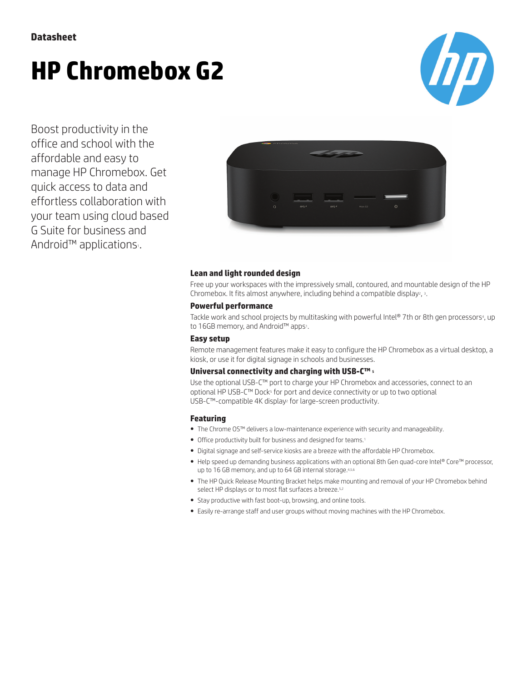# **HP Chromebox G2**



Boost productivity in the office and school with the affordable and easy to manage HP Chromebox. Get quick access to data and effortless collaboration with your team using cloud based G Suite for business and Android™ applications<sub>1</sub>.



### **Lean and light rounded design**

Free up your workspaces with the impressively small, contoured, and mountable design of the HP Chromebox. It fits almost anywhere, including behind a compatible display<sup>2</sup>, <sup>3</sup>.

### **Powerful performance**

Tackle work and school projects by multitasking with powerful Intel® 7th or 8th gen processors4, up to 16GB memory, and Android™ apps1.

### **Easy setup**

Remote management features make it easy to configure the HP Chromebox as a virtual desktop, a kiosk, or use it for digital signage in schools and businesses.

### **Universal connectivity and charging with USB-C™** <sup>5</sup>

Use the optional USB-C™ port to charge your HP Chromebox and accessories, connect to an optional HP USB-C™ Dock<sup>5</sup> for port and device connectivity or up to two optional USB-C™-compatible 4K display<sup>2</sup> for large-screen productivity.

### **Featuring**

- The Chrome OS™ delivers a low-maintenance experience with security and manageability.
- Office productivity built for business and designed for teams.<sup>1</sup>
- Digital signage and self-service kiosks are a breeze with the affordable HP Chromebox.
- Help speed up demanding business applications with an optional 8th Gen quad-core Intel® Core™ processor, up to 16 GB memory, and up to 64 GB internal storage.4,5,6
- The HP Quick Release Mounting Bracket helps make mounting and removal of your HP Chromebox behind select HP displays or to most flat surfaces a breeze.<sup>5,2</sup>
- Stay productive with fast boot-up, browsing, and online tools.
- Easily re-arrange staff and user groups without moving machines with the HP Chromebox.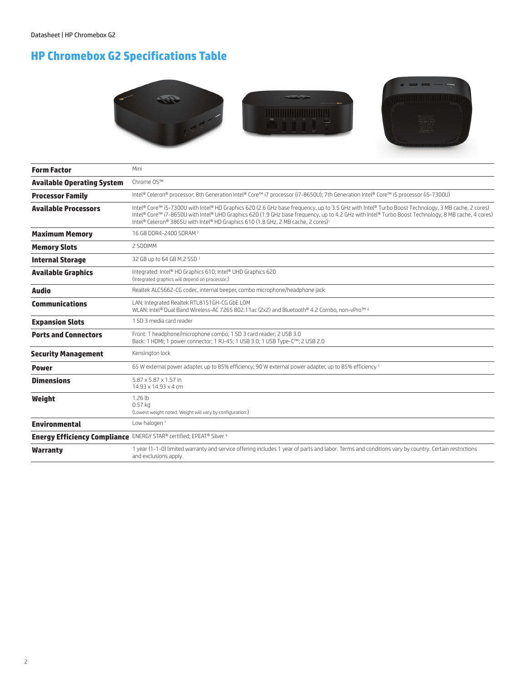## **HP Chromebox G2 Specifications Table**





| <b>Form Factor</b>                | Mini                                                                                                                                                                                                                                                                                                                                                                                                     |
|-----------------------------------|----------------------------------------------------------------------------------------------------------------------------------------------------------------------------------------------------------------------------------------------------------------------------------------------------------------------------------------------------------------------------------------------------------|
| <b>Available Operating System</b> | Chrome OS™                                                                                                                                                                                                                                                                                                                                                                                               |
| <b>Processor Family</b>           | Intel® Celeron® processor; 8th Generation Intel® Core™ i7 processor (i7-8650U); 7th Generation Intel® Core™ i5 processor (i5-7300U)                                                                                                                                                                                                                                                                      |
| <b>Available Processors</b>       | Intel® Core™ i5-7300U with Intel® HD Graphics 620 (2.6 GHz base frequency, up to 3.5 GHz with Intel® Turbo Boost Technology, 3 MB cache, 2 cores)<br>Intel® Core™ i7-8650U with Intel® UHD Graphics 620 (1.9 GHz base frequency, up to 4.2 GHz with Intel® Turbo Boost Technology, 8 MB cache, 4 cores)<br>Intel® Celeron® 3865U with Intel® HD Graphics 610 (1.8 GHz, 2 MB cache, 2 cores) <sup>1</sup> |
| <b>Maximum Memory</b>             | 16 GB DDR4-2400 SDRAM 2                                                                                                                                                                                                                                                                                                                                                                                  |
| <b>Memory Slots</b>               | 2 SODIMM                                                                                                                                                                                                                                                                                                                                                                                                 |
| <b>Internal Storage</b>           | 32 GB up to 64 GB M.2 SSD 3                                                                                                                                                                                                                                                                                                                                                                              |
| <b>Available Graphics</b>         | Integrated: Intel® HD Graphics 610; Intel® UHD Graphics 620<br>(Integrated graphics will depend on processor.)                                                                                                                                                                                                                                                                                           |
| Audio                             | Realtek ALC5662-CG codec, internal beeper, combo microphone/headphone jack                                                                                                                                                                                                                                                                                                                               |
| <b>Communications</b>             | LAN: Integrated Realtek RTL8151GH-CG GbE LOM<br>WLAN: Intel® Dual Band Wireless-AC 7265 802.11ac (2x2) and Bluetooth® 4.2 Combo, non-vPro™ 4                                                                                                                                                                                                                                                             |
| <b>Expansion Slots</b>            | 1 SD 3 media card reader                                                                                                                                                                                                                                                                                                                                                                                 |
| <b>Ports and Connectors</b>       | Front: 1 headphone/microphone combo; 1 SD 3 card reader; 2 USB 3.0<br>Back: 1 HDMI; 1 power connector; 1 RJ-45; 1 USB 3.0; 1 USB Type-C™; 2 USB 2.0                                                                                                                                                                                                                                                      |
| <b>Security Management</b>        | Kensington lock                                                                                                                                                                                                                                                                                                                                                                                          |
| <b>Power</b>                      | 65 W external power adapter, up to 85% efficiency; 90 W external power adapter, up to 85% efficiency <sup>5</sup>                                                                                                                                                                                                                                                                                        |
| <b>Dimensions</b>                 | 5.87 x 5.87 x 1.57 in<br>14.93 x 14.93 x 4 cm                                                                                                                                                                                                                                                                                                                                                            |
| Weight                            | 1.26 <sub>th</sub><br>$0.57$ kg<br>(Lowest weight noted. Weight will vary by configuration.)                                                                                                                                                                                                                                                                                                             |
| <b>Environmental</b>              | Low halogen <sup>7</sup>                                                                                                                                                                                                                                                                                                                                                                                 |
|                                   | Energy Efficiency Compliance ENERGY STAR® certified; EPEAT® Silver 6                                                                                                                                                                                                                                                                                                                                     |
| <b>Warranty</b>                   | 1 year (1-1-0) limited warranty and service offering includes 1 year of parts and labor. Terms and conditions vary by country. Certain restrictions<br>and exclusions apply.                                                                                                                                                                                                                             |
|                                   |                                                                                                                                                                                                                                                                                                                                                                                                          |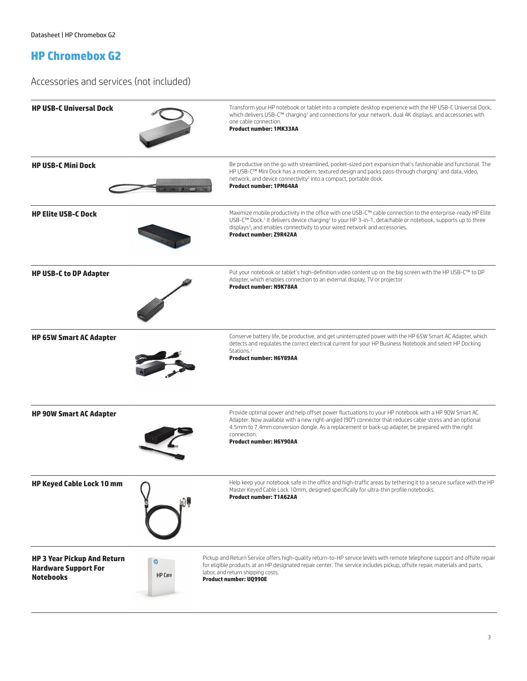### **HP Chromebox G2**

Accessories and services (not included)